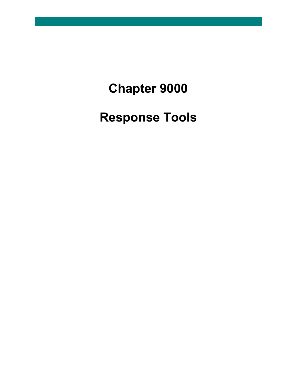## **Chapter 9000**

## **Response Tools**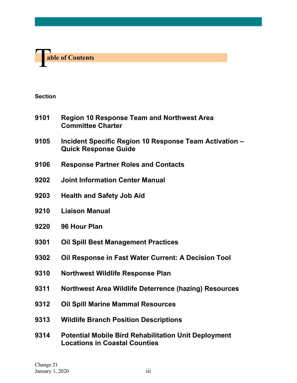

**Section**

- **Region 10 Response Team and Northwest Area Committee Charter**
- **Incident Specific Region 10 Response Team Activation – Quick Response Guide**
- **Response Partner Roles and Contacts**
- **Joint Information Center Manual**
- **Health and Safety Job Aid**
- **Liaison Manual**
- **96 Hour Plan**
- **Oil Spill Best Management Practices**
- **Oil Response in Fast Water Current: A Decision Tool**
- **Northwest Wildlife Response Plan**
- **Northwest Area Wildlife Deterrence (hazing) Resources**
- **Oil Spill Marine Mammal Resources**
- **Wildlife Branch Position Descriptions**
- **Potential Mobile Bird Rehabilitation Unit Deployment Locations in Coastal Counties**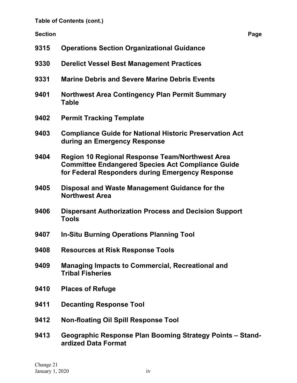**Table of Contents (cont.)**

**Section Page**

| 9315 | <b>Operations Section Organizational Guidance</b>                                                                                                               |
|------|-----------------------------------------------------------------------------------------------------------------------------------------------------------------|
| 9330 | <b>Derelict Vessel Best Management Practices</b>                                                                                                                |
| 9331 | <b>Marine Debris and Severe Marine Debris Events</b>                                                                                                            |
| 9401 | <b>Northwest Area Contingency Plan Permit Summary</b><br><b>Table</b>                                                                                           |
| 9402 | <b>Permit Tracking Template</b>                                                                                                                                 |
| 9403 | <b>Compliance Guide for National Historic Preservation Act</b><br>during an Emergency Response                                                                  |
| 9404 | Region 10 Regional Response Team/Northwest Area<br><b>Committee Endangered Species Act Compliance Guide</b><br>for Federal Responders during Emergency Response |
| 9405 | Disposal and Waste Management Guidance for the<br><b>Northwest Area</b>                                                                                         |
| 9406 | <b>Dispersant Authorization Process and Decision Support</b><br><b>Tools</b>                                                                                    |
| 9407 | <b>In-Situ Burning Operations Planning Tool</b>                                                                                                                 |
| 9408 | <b>Resources at Risk Response Tools</b>                                                                                                                         |
| 9409 | <b>Managing Impacts to Commercial, Recreational and</b><br><b>Tribal Fisheries</b>                                                                              |
| 9410 | <b>Places of Refuge</b>                                                                                                                                         |
| 9411 | <b>Decanting Response Tool</b>                                                                                                                                  |
| 9412 | <b>Non-floating Oil Spill Response Tool</b>                                                                                                                     |
|      |                                                                                                                                                                 |

**9413 Geographic Response Plan Booming Strategy Points – Standardized Data Format**